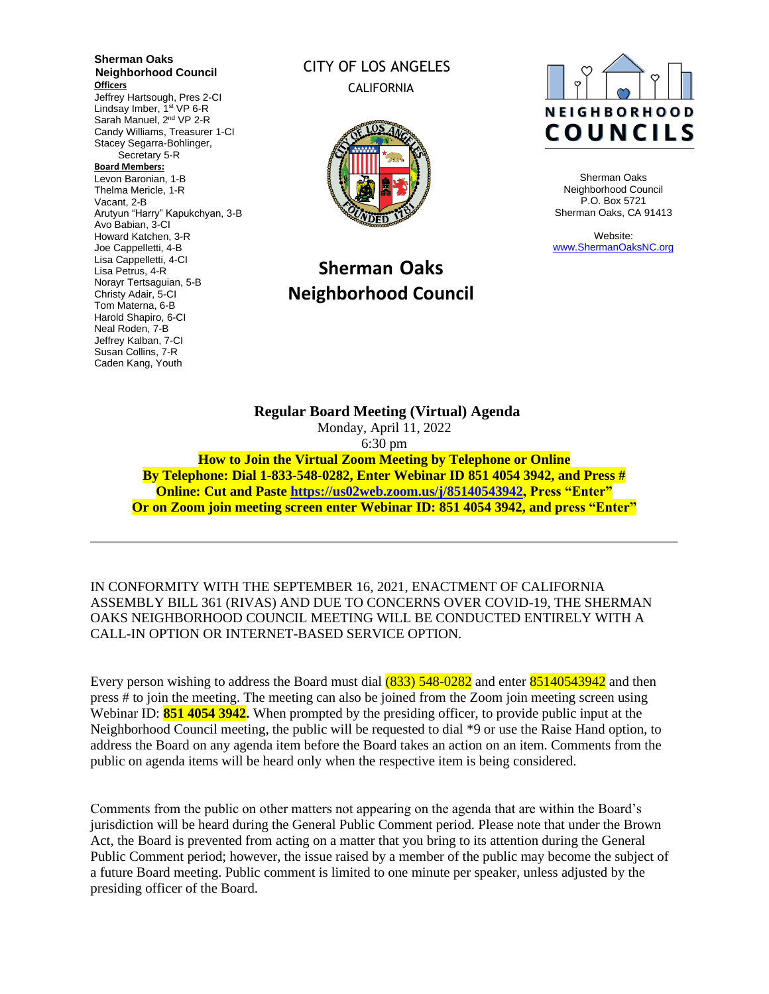**Sherman Oaks Neighborhood Council Officers** Jeffrey Hartsough, Pres 2-CI Lindsay Imber, 1<sup>st</sup> VP 6-R Sarah Manuel, 2<sup>nd</sup> VP 2-R Candy Williams, Treasurer 1-CI Stacey Segarra-Bohlinger, Secretary 5-R **Board Members:** Levon Baronian, 1-B Thelma Mericle, 1-R Vacant, 2-B Arutyun "Harry" Kapukchyan, 3-B Avo Babian, 3-CI Howard Katchen, 3-R Joe Cappelletti, 4-B Lisa Cappelletti, 4-CI Lisa Petrus, 4-R Norayr Tertsaguian, 5-B Christy Adair, 5-CI Tom Materna, 6-B Harold Shapiro, 6-CI Neal Roden, 7-B Jeffrey Kalban, 7-CI Susan Collins, 7-R Caden Kang, Youth

# CITY OF LOS ANGELES CALIFORNIA



# **Sherman Oaks Neighborhood Council**



Sherman Oaks Neighborhood Council P.O. Box 5721 Sherman Oaks, CA 91413

Website: [www.ShermanOaksNC.org](http://www.shermanoaksnc.org/)

**Regular Board Meeting (Virtual) Agenda**  Monday, April 11, 2022 6:30 pm **How to Join the Virtual Zoom Meeting by Telephone or Online By Telephone: Dial 1-833-548-0282, Enter Webinar ID 851 4054 3942, and Press # Online: Cut and Paste [https://us02web.zoom.us/j/85140543942,](https://us02web.zoom.us/j/85140543942) Press "Enter" Or on Zoom join meeting screen enter Webinar ID: 851 4054 3942, and press "Enter"**

IN CONFORMITY WITH THE SEPTEMBER 16, 2021, ENACTMENT OF CALIFORNIA ASSEMBLY BILL 361 (RIVAS) AND DUE TO CONCERNS OVER COVID-19, THE SHERMAN OAKS NEIGHBORHOOD COUNCIL MEETING WILL BE CONDUCTED ENTIRELY WITH A CALL-IN OPTION OR INTERNET-BASED SERVICE OPTION.

Every person wishing to address the Board must dial  $(833)$  548-0282 and enter 85140543942 and then press # to join the meeting. The meeting can also be joined from the Zoom join meeting screen using Webinar ID: **851 4054 3942.** When prompted by the presiding officer, to provide public input at the Neighborhood Council meeting, the public will be requested to dial \*9 or use the Raise Hand option, to address the Board on any agenda item before the Board takes an action on an item. Comments from the public on agenda items will be heard only when the respective item is being considered.

Comments from the public on other matters not appearing on the agenda that are within the Board's jurisdiction will be heard during the General Public Comment period. Please note that under the Brown Act, the Board is prevented from acting on a matter that you bring to its attention during the General Public Comment period; however, the issue raised by a member of the public may become the subject of a future Board meeting. Public comment is limited to one minute per speaker, unless adjusted by the presiding officer of the Board.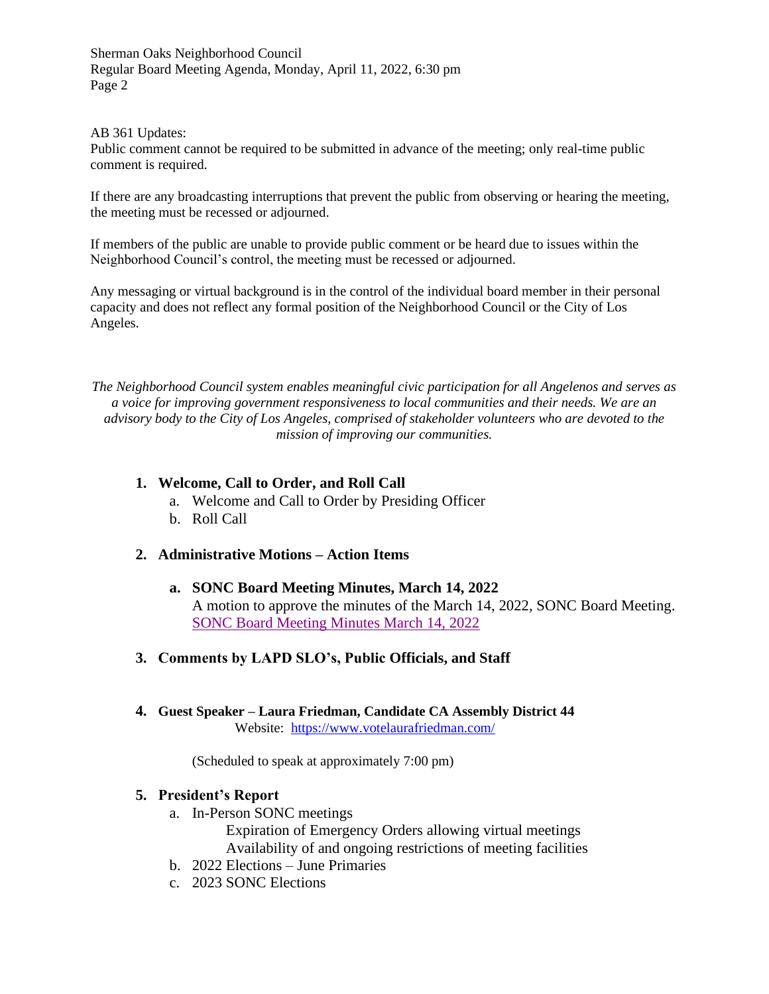#### AB 361 Updates:

Public comment cannot be required to be submitted in advance of the meeting; only real-time public comment is required.

If there are any broadcasting interruptions that prevent the public from observing or hearing the meeting, the meeting must be recessed or adjourned.

If members of the public are unable to provide public comment or be heard due to issues within the Neighborhood Council's control, the meeting must be recessed or adjourned.

Any messaging or virtual background is in the control of the individual board member in their personal capacity and does not reflect any formal position of the Neighborhood Council or the City of Los Angeles.

*The Neighborhood Council system enables meaningful civic participation for all Angelenos and serves as a voice for improving government responsiveness to local communities and their needs. We are an advisory body to the City of Los Angeles, comprised of stakeholder volunteers who are devoted to the mission of improving our communities.*

#### **1. Welcome, Call to Order, and Roll Call**

- a. Welcome and Call to Order by Presiding Officer
- b. Roll Call

#### **2. Administrative Motions – Action Items**

- **a. SONC Board Meeting Minutes, March 14, 2022** A motion to approve the minutes of the March 14, 2022, SONC Board Meeting. [SONC Board Meeting Minutes March 14, 2022](https://www.shermanoaksnc.org/assets/documents/7/meeting6250c31e7bd01.pdf)
- **3. Comments by LAPD SLO's, Public Officials, and Staff**
- **4. Guest Speaker – Laura Friedman, Candidate CA Assembly District 44** Website: <https://www.votelaurafriedman.com/>

(Scheduled to speak at approximately 7:00 pm)

#### **5. President's Report**

a. In-Person SONC meetings

Expiration of Emergency Orders allowing virtual meetings Availability of and ongoing restrictions of meeting facilities

- b. 2022 Elections June Primaries
- c. 2023 SONC Elections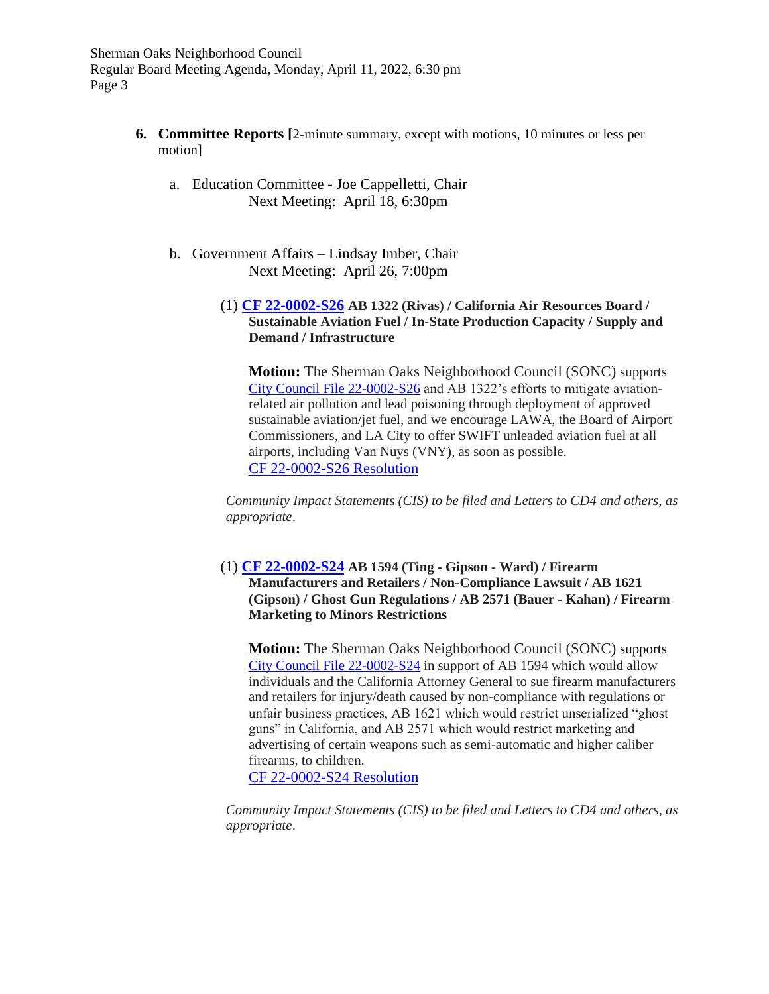- **6. Committee Reports [**2-minute summary, except with motions, 10 minutes or less per motion]
	- a. Education Committee Joe Cappelletti, Chair Next Meeting: April 18, 6:30pm
	- b. Government Affairs Lindsay Imber, Chair Next Meeting: April 26, 7:00pm
		- (1) **[CF 22-0002-S26](https://cityclerk.lacity.org/lacityclerkconnect/index.cfm?fa=ccfi.viewrecord&cfnumber=22-0002-S26) AB 1322 (Rivas) / California Air Resources Board / Sustainable Aviation Fuel / In-State Production Capacity / Supply and Demand / Infrastructure**

**Motion:** The Sherman Oaks Neighborhood Council (SONC) supports [City Council File 22-0002-S26](https://cityclerk.lacity.org/lacityclerkconnect/index.cfm?fa=ccfi.viewrecord&cfnumber=22-0002-S26) and AB 1322's efforts to mitigate aviationrelated air pollution and lead poisoning through deployment of approved sustainable aviation/jet fuel, and we encourage LAWA, the Board of Airport Commissioners, and LA City to offer SWIFT unleaded aviation fuel at all airports, including Van Nuys (VNY), as soon as possible. [CF 22-0002-S26 Resolution](https://www.shermanoaksnc.org/assets/documents/7/meeting6250ad7897ce3.pdf)

*Community Impact Statements (CIS) to be filed and Letters to CD4 and others, as appropriate*.

(1) **[CF 22-0002-S24](https://cityclerk.lacity.org/lacityclerkconnect/index.cfm?fa=ccfi.viewrecord&cfnumber=22-0002-S24) AB 1594 (Ting - Gipson - Ward) / Firearm Manufacturers and Retailers / Non-Compliance Lawsuit / AB 1621 (Gipson) / Ghost Gun Regulations / AB 2571 (Bauer - Kahan) / Firearm Marketing to Minors Restrictions**

**Motion:** The Sherman Oaks Neighborhood Council (SONC) supports [City Council File 22-0002-S24](https://cityclerk.lacity.org/lacityclerkconnect/index.cfm?fa=ccfi.viewrecord&cfnumber=22-0002-S24) in support of AB 1594 which would allow individuals and the California Attorney General to sue firearm manufacturers and retailers for injury/death caused by non-compliance with regulations or unfair business practices, AB 1621 which would restrict unserialized "ghost guns" in California, and AB 2571 which would restrict marketing and advertising of certain weapons such as semi-automatic and higher caliber firearms, to children.

[CF 22-0002-S24](https://www.shermanoaksnc.org/assets/documents/7/meeting6250b0e431a17.pdf) Resolution

*Community Impact Statements (CIS) to be filed and Letters to CD4 and others, as appropriate*.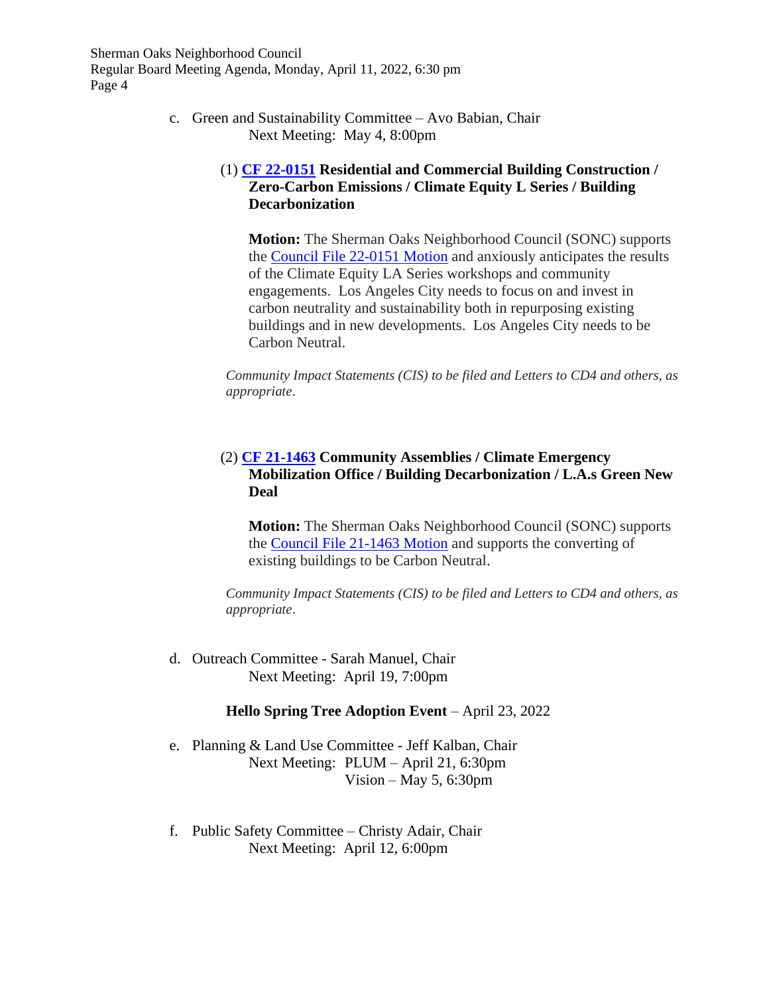> c. Green and Sustainability Committee – Avo Babian, Chair Next Meeting: May 4, 8:00pm

# (1) **[CF 22-0151](https://cityclerk.lacity.org/lacityclerkconnect/index.cfm?fa=ccfi.viewrecord&cfnumber=22-0151) Residential and Commercial Building Construction / Zero-Carbon Emissions / Climate Equity L Series / Building Decarbonization**

**Motion:** The Sherman Oaks Neighborhood Council (SONC) supports the [Council File 22-0151](https://www.shermanoaksnc.org/assets/documents/7/meeting6250a78f2cdc5.pdf) Motion and anxiously anticipates the results of the Climate Equity LA Series workshops and community engagements. Los Angeles City needs to focus on and invest in carbon neutrality and sustainability both in repurposing existing buildings and in new developments. Los Angeles City needs to be Carbon Neutral.

*Community Impact Statements (CIS) to be filed and Letters to CD4 and others, as appropriate*.

# (2) **[CF 21-1463](https://cityclerk.lacity.org/lacityclerkconnect/index.cfm?fa=ccfi.viewrecord&cfnumber=21-1463) Community Assemblies / Climate Emergency Mobilization Office / Building Decarbonization / L.A.s Green New Deal**

**Motion:** The Sherman Oaks Neighborhood Council (SONC) supports the [Council File 21-1463](https://www.shermanoaksnc.org/assets/documents/7/meeting6250aa767b424.pdf) Motion and supports the converting of existing buildings to be Carbon Neutral.

*Community Impact Statements (CIS) to be filed and Letters to CD4 and others, as appropriate*.

d. Outreach Committee - Sarah Manuel, Chair Next Meeting: April 19, 7:00pm

## **Hello Spring Tree Adoption Event** – April 23, 2022

- e. Planning & Land Use Committee Jeff Kalban, Chair Next Meeting: PLUM – April 21, 6:30pm Vision – May 5, 6:30pm
- f. Public Safety Committee Christy Adair, Chair Next Meeting: April 12, 6:00pm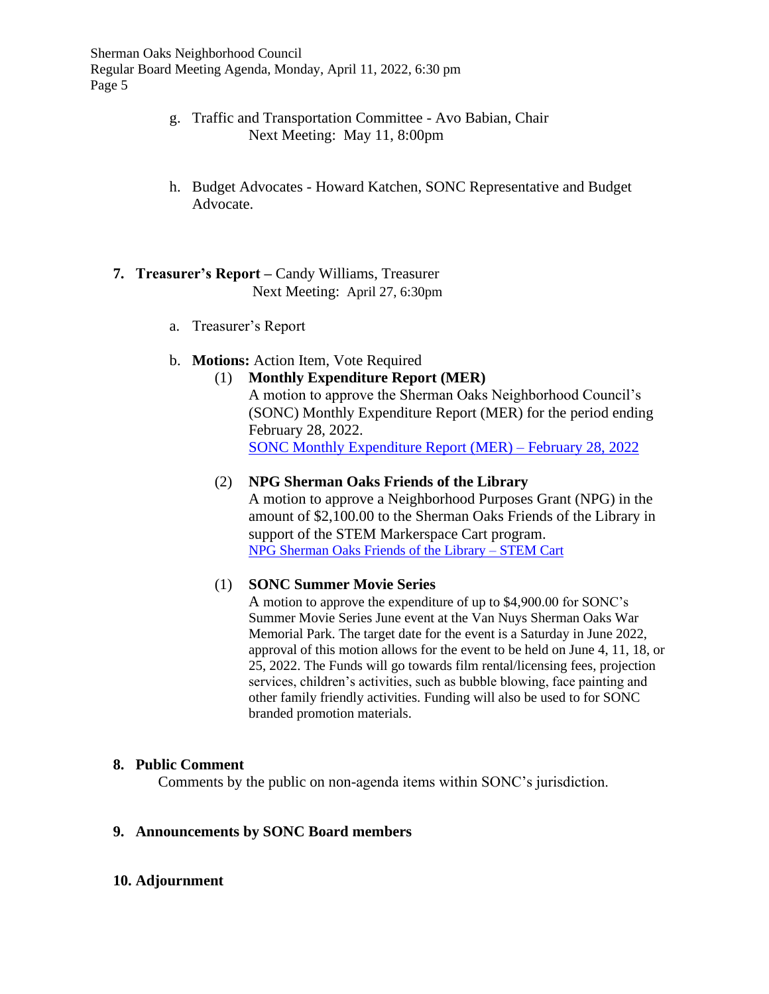- g. Traffic and Transportation Committee Avo Babian, Chair Next Meeting: May 11, 8:00pm
- h. Budget Advocates Howard Katchen, SONC Representative and Budget Advocate.

# **7. Treasurer's Report –** Candy Williams, Treasurer Next Meeting: April 27, 6:30pm

a. Treasurer's Report

## b. **Motions:** Action Item, Vote Required

# (1) **Monthly Expenditure Report (MER)** A motion to approve the Sherman Oaks Neighborhood Council's (SONC) Monthly Expenditure Report (MER) for the period ending February 28, 2022.

[SONC Monthly Expenditure Report](https://www.shermanoaksnc.org/assets/documents/7/meeting6250a1a522cab.pdf) (MER) – February 28, 2022

# (2) **NPG Sherman Oaks Friends of the Library**

A motion to approve a Neighborhood Purposes Grant (NPG) in the amount of \$2,100.00 to the Sherman Oaks Friends of the Library in support of the STEM Markerspace Cart program. [NPG Sherman Oaks Friends of the Library –](https://www.shermanoaksnc.org/assets/documents/7/meeting6250b6eb020b8.pdf) STEM Cart

## (1) **SONC Summer Movie Series**

A motion to approve the expenditure of up to \$4,900.00 for SONC's Summer Movie Series June event at the Van Nuys Sherman Oaks War Memorial Park. The target date for the event is a Saturday in June 2022, approval of this motion allows for the event to be held on June 4, 11, 18, or 25, 2022. The Funds will go towards film rental/licensing fees, projection services, children's activities, such as bubble blowing, face painting and other family friendly activities. Funding will also be used to for SONC branded promotion materials.

## **8. Public Comment**

Comments by the public on non-agenda items within SONC's jurisdiction.

## **9. Announcements by SONC Board members**

## **10. Adjournment**